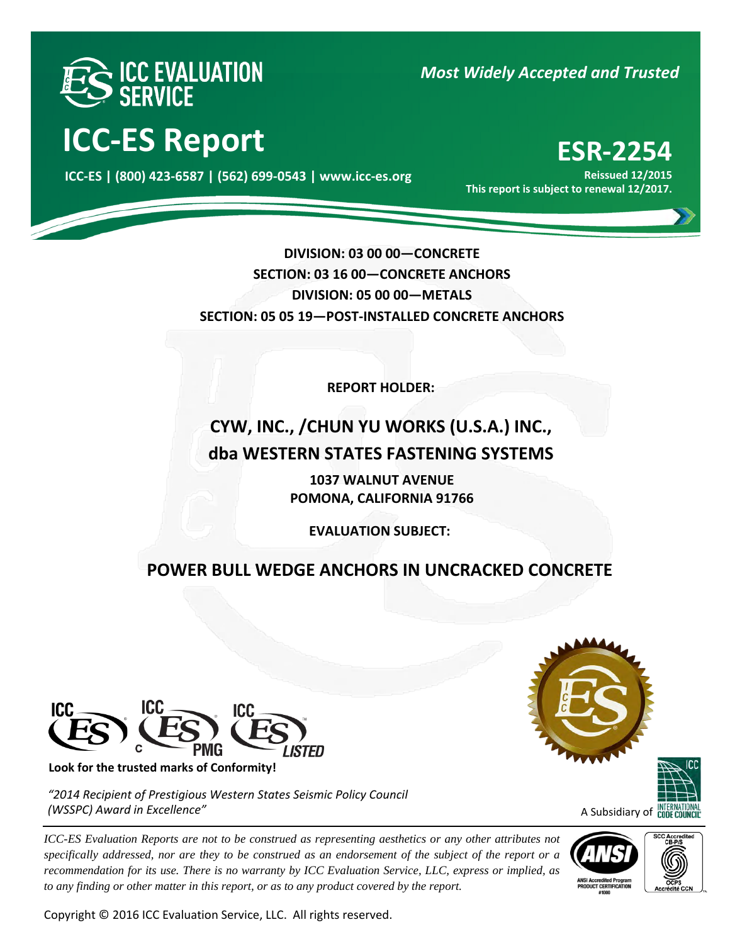

**ICC-ES Report ESR-2254** 

000 **ICC-ES | (800) 423-6587 | (562) 699-0543 | www.icc-es.org**

*Most Widely Accepted and Trusted* 

**Reissued 12/2015 This report is subject to renewal 12/2017.**

**DIVISION: 03 00 00—CONCRETE SECTION: 03 16 00—CONCRETE ANCHORS DIVISION: 05 00 00—METALS SECTION: 05 05 19—POST-INSTALLED CONCRETE ANCHORS** 

**REPORT HOLDER:** 

# **CYW, INC., /CHUN YU WORKS (U.S.A.) INC., dba WESTERN STATES FASTENING SYSTEMS**

**1037 WALNUT AVENUE POMONA, CALIFORNIA 91766**

**EVALUATION SUBJECT:**

## **POWER BULL WEDGE ANCHORS IN UNCRACKED CONCRETE**



**Look for the trusted marks of Conformity!** 

*"2014 Recipient of Prestigious Western States Seismic Policy Council (WSSPC) Award in Excellence"*

*ICC-ES Evaluation Reports are not to be construed as representing aesthetics or any other attributes not specifically addressed, nor are they to be construed as an endorsement of the subject of the report or a recommendation for its use. There is no warranty by ICC Evaluation Service, LLC, express or implied, as to any finding or other matter in this report, or as to any product covered by the report.*

Copyright © 2016 ICC Evaluation Service, LLC. All rights reserved.





A Subsidiary of **CODE COUL** 



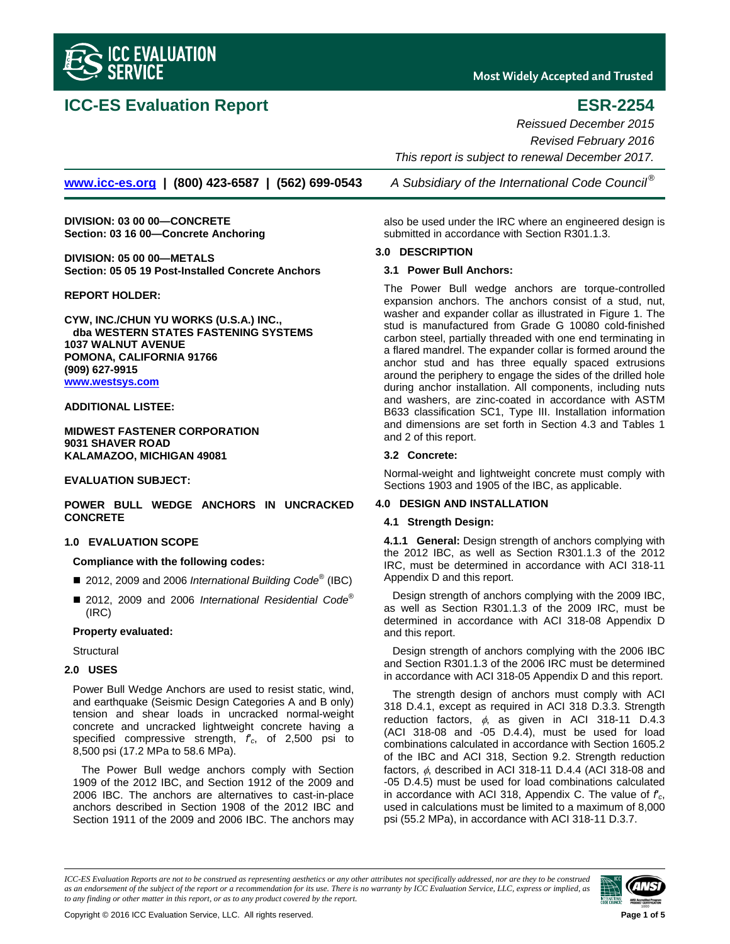

## **ICC-ES Evaluation Report ESR-2254**

**Most Widely Accepted and Trusted** 

*Reissued December 2015 Revised February 2016 This report is subject to renewal December 2017.* 

**www.icc-es.org | (800) 423-6587 | (562) 699-0543** *A Subsidiary of the International Code Council ®*

**DIVISION: 03 00 00—CONCRETE Section: 03 16 00—Concrete Anchoring** 

**DIVISION: 05 00 00—METALS Section: 05 05 19 Post-Installed Concrete Anchors** 

#### **REPORT HOLDER:**

**CYW, INC./CHUN YU WORKS (U.S.A.) INC., dba WESTERN STATES FASTENING SYSTEMS 1037 WALNUT AVENUE POMONA, CALIFORNIA 91766 (909) 627-9915 www.westsys.com**

#### **ADDITIONAL LISTEE:**

**MIDWEST FASTENER CORPORATION 9031 SHAVER ROAD KALAMAZOO, MICHIGAN 49081** 

### **EVALUATION SUBJECT:**

**POWER BULL WEDGE ANCHORS IN UNCRACKED CONCRETE** 

### **1.0 EVALUATION SCOPE**

### **Compliance with the following codes:**

- 2012, 2009 and 2006 *International Building Code*<sup>®</sup> (IBC)
- 2012, 2009 and 2006 *International Residential Code*<sup>®</sup> (IRC)

#### **Property evaluated:**

**Structural** 

### **2.0 USES**

Power Bull Wedge Anchors are used to resist static, wind, and earthquake (Seismic Design Categories A and B only) tension and shear loads in uncracked normal-weight concrete and uncracked lightweight concrete having a specified compressive strength, *f*′*c*, of 2,500 psi to 8,500 psi (17.2 MPa to 58.6 MPa).

The Power Bull wedge anchors comply with Section 1909 of the 2012 IBC, and Section 1912 of the 2009 and 2006 IBC. The anchors are alternatives to cast-in-place anchors described in Section 1908 of the 2012 IBC and Section 1911 of the 2009 and 2006 IBC. The anchors may

also be used under the IRC where an engineered design is submitted in accordance with Section R301.1.3.

#### **3.0 DESCRIPTION**

#### **3.1 Power Bull Anchors:**

The Power Bull wedge anchors are torque-controlled expansion anchors. The anchors consist of a stud, nut, washer and expander collar as illustrated in Figure 1. The stud is manufactured from Grade G 10080 cold-finished carbon steel, partially threaded with one end terminating in a flared mandrel. The expander collar is formed around the anchor stud and has three equally spaced extrusions around the periphery to engage the sides of the drilled hole during anchor installation. All components, including nuts and washers, are zinc-coated in accordance with ASTM B633 classification SC1, Type III. Installation information and dimensions are set forth in Section 4.3 and Tables 1 and 2 of this report.

### **3.2 Concrete:**

Normal-weight and lightweight concrete must comply with Sections 1903 and 1905 of the IBC, as applicable.

### **4.0 DESIGN AND INSTALLATION**

#### **4.1 Strength Design:**

**4.1.1 General:** Design strength of anchors complying with the 2012 IBC, as well as Section R301.1.3 of the 2012 IRC, must be determined in accordance with ACI 318-11 Appendix D and this report.

Design strength of anchors complying with the 2009 IBC, as well as Section R301.1.3 of the 2009 IRC, must be determined in accordance with ACI 318-08 Appendix D and this report.

Design strength of anchors complying with the 2006 IBC and Section R301.1.3 of the 2006 IRC must be determined in accordance with ACI 318-05 Appendix D and this report.

The strength design of anchors must comply with ACI 318 D.4.1, except as required in ACI 318 D.3.3. Strength reduction factors,  $\phi$ , as given in ACI 318-11 D.4.3 (ACI 318-08 and -05 D.4.4), must be used for load combinations calculated in accordance with Section 1605.2 of the IBC and ACI 318, Section 9.2. Strength reduction factors,  $\phi$ , described in ACI 318-11 D.4.4 (ACI 318-08 and -05 D.4.5) must be used for load combinations calculated in accordance with ACI 318, Appendix C. The value of *f*′*c*, used in calculations must be limited to a maximum of 8,000 psi (55.2 MPa), in accordance with ACI 318-11 D.3.7.

*ICC-ES Evaluation Reports are not to be construed as representing aesthetics or any other attributes not specifically addressed, nor are they to be construed as an endorsement of the subject of the report or a recommendation for its use. There is no warranty by ICC Evaluation Service, LLC, express or implied, as to any finding or other matter in this report, or as to any product covered by the report.*

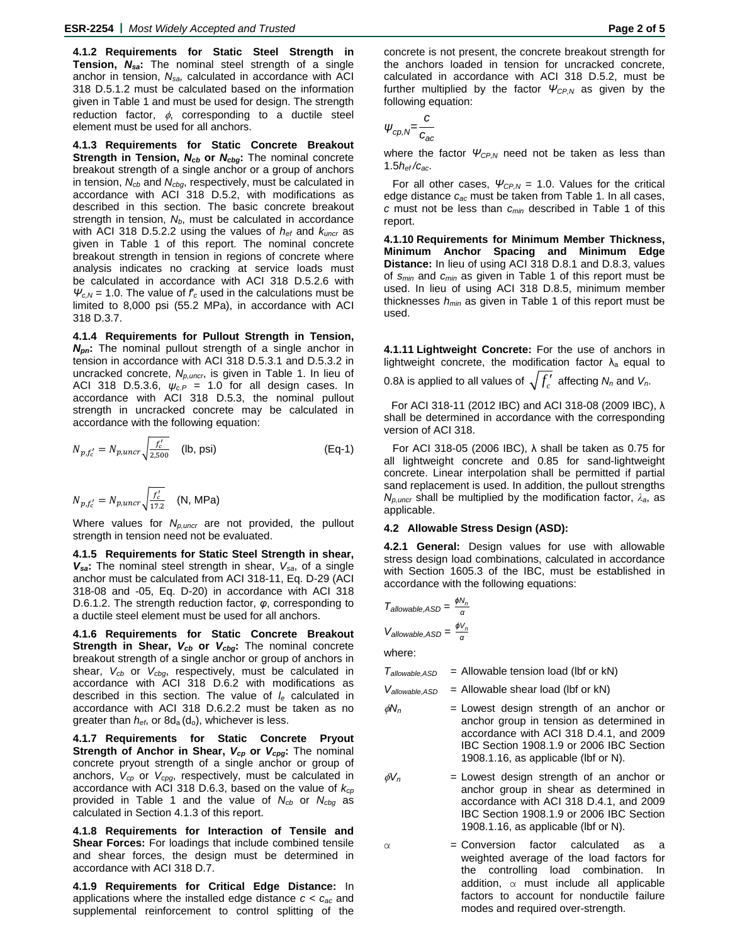**4.1.2 Requirements for Static Steel Strength in Tension,** *Nsa***:** The nominal steel strength of a single anchor in tension, *Nsa,* calculated in accordance with ACI 318 D.5.1.2 must be calculated based on the information given in Table 1 and must be used for design. The strength reduction factor,  $\phi$ , corresponding to a ductile steel element must be used for all anchors.

**4.1.3 Requirements for Static Concrete Breakout Strength in Tension, N<sub>cb</sub> or N<sub>cbg</sub>:** The nominal concrete breakout strength of a single anchor or a group of anchors in tension, *Ncb* and *Ncbg*, respectively, must be calculated in accordance with ACI 318 D.5.2, with modifications as described in this section. The basic concrete breakout strength in tension,  $N_b$ , must be calculated in accordance with ACI 318 D.5.2.2 using the values of *hef* and *kuncr* as given in Table 1 of this report. The nominal concrete breakout strength in tension in regions of concrete where analysis indicates no cracking at service loads must be calculated in accordance with ACI 318 D.5.2.6 with  $\Psi_{c,N}$  = 1.0. The value of  $f_c$  used in the calculations must be limited to 8,000 psi (55.2 MPa), in accordance with ACI 318 D.3.7.

**4.1.4 Requirements for Pullout Strength in Tension,**  *Npn***:** The nominal pullout strength of a single anchor in tension in accordance with ACI 318 D.5.3.1 and D.5.3.2 in uncracked concrete, *Np,uncr*, is given in Table 1. In lieu of ACI 318 D.5.3.6, *ψc.P* = 1.0 for all design cases. In accordance with ACI 318 D.5.3, the nominal pullout strength in uncracked concrete may be calculated in accordance with the following equation:

$$
N_{p,f'_c} = N_{p,uncr} \sqrt{\frac{f'_c}{2,500}} \quad \text{(lb, psi)} \tag{Eq-1}
$$

$$
N_{p,f'_c} = N_{p,uncr} \sqrt{\frac{f'_c}{17.2}} \quad (\text{N, MPa})
$$

Where values for *Np,uncr* are not provided, the pullout strength in tension need not be evaluated.

**4.1.5 Requirements for Static Steel Strength in shear,**  *Vsa***:** The nominal steel strength in shear, *Vsa*, of a single anchor must be calculated from ACI 318-11, Eq. D-29 (ACI 318-08 and -05, Eq. D-20) in accordance with ACI 318 D.6.1.2. The strength reduction factor, *φ*, corresponding to a ductile steel element must be used for all anchors.

**4.1.6 Requirements for Static Concrete Breakout Strength in Shear,**  $V_{cb}$  **or**  $V_{cbg}$ **:** The nominal concrete breakout strength of a single anchor or group of anchors in shear, *Vcb* or *Vcbg*, respectively, must be calculated in accordance with ACI 318 D.6.2 with modifications as described in this section. The value of *le* calculated in accordance with ACI 318 D.6.2.2 must be taken as no greater than  $h_{\text{ef}}$ , or  $8d_{\text{a}}(d_{\text{o}})$ , whichever is less.

**4.1.7 Requirements for Static Concrete Pryout Strength of Anchor in Shear,**  $V_{cp}$  **or**  $V_{cpg}$ **: The nominal** concrete pryout strength of a single anchor or group of anchors, *Vcp* or *Vcpg*, respectively, must be calculated in accordance with ACI 318 D.6.3, based on the value of *kcp* provided in Table 1 and the value of *Ncb* or *Ncbg* as calculated in Section 4.1.3 of this report.

**4.1.8 Requirements for Interaction of Tensile and Shear Forces:** For loadings that include combined tensile and shear forces, the design must be determined in accordance with ACI 318 D.7.

**4.1.9 Requirements for Critical Edge Distance:** In applications where the installed edge distance *c < cac* and supplemental reinforcement to control splitting of the

concrete is not present, the concrete breakout strength for the anchors loaded in tension for uncracked concrete, calculated in accordance with ACI 318 D.5.2, must be further multiplied by the factor *ΨCP,N* as given by the following equation:

$$
\psi_{cp,N} = \frac{c}{c_{ac}}
$$

where the factor *ΨCP,N* need not be taken as less than 1.5*hef /cac*.

For all other cases, *ΨCP,N* = 1.0. Values for the critical edge distance *cac* must be taken from Table 1. In all cases, *c* must not be less than *cmin* described in Table 1 of this report.

**4.1.10 Requirements for Minimum Member Thickness, Minimum Anchor Spacing and Minimum Edge Distance:** In lieu of using ACI 318 D.8.1 and D.8.3, values of *smin* and *cmin* as given in Table 1 of this report must be used. In lieu of using ACI 318 D.8.5, minimum member thicknesses *hmin* as given in Table 1 of this report must be used.

**4.1.11 Lightweight Concrete:** For the use of anchors in lightweight concrete, the modification factor  $\lambda_a$  equal to 0.8λ is applied to all values of  $\sqrt{f'_c}$  affecting  $N_n$  and  $V_n$ .

For ACI 318-11 (2012 IBC) and ACI 318-08 (2009 IBC), λ shall be determined in accordance with the corresponding version of ACI 318.

For ACI 318-05 (2006 IBC), λ shall be taken as 0.75 for all lightweight concrete and 0.85 for sand-lightweight concrete. Linear interpolation shall be permitted if partial sand replacement is used. In addition, the pullout strengths *Np,uncr* shall be multiplied by the modification factor, *λa*, as applicable.

#### **4.2 Allowable Stress Design (ASD):**

**4.2.1 General:** Design values for use with allowable stress design load combinations, calculated in accordance with Section 1605.3 of the IBC, must be established in accordance with the following equations:

$$
T_{\text{allowable,ASD}} = \frac{\phi N_n}{\alpha}
$$

$$
V_{\text{allowable,ASD}} = \frac{\phi V_n}{\alpha}
$$

where:

 $T_{\text{allowable,ASD}}$  = Allowable tension load (lbf or kN)

 $V_{\text{allowable,ASD}}$  = Allowable shear load (lbf or kN)

- $\phi N_n$  = Lowest design strength of an anchor or anchor group in tension as determined in accordance with ACI 318 D.4.1, and 2009 IBC Section 1908.1.9 or 2006 IBC Section 1908.1.16, as applicable (lbf or N).
- $\phi V_n$  = Lowest design strength of an anchor or anchor group in shear as determined in accordance with ACI 318 D.4.1, and 2009 IBC Section 1908.1.9 or 2006 IBC Section 1908.1.16, as applicable (lbf or N).
- $\alpha$  = Conversion factor calculated as a weighted average of the load factors for the controlling load combination. In addition,  $\alpha$  must include all applicable factors to account for nonductile failure modes and required over-strength.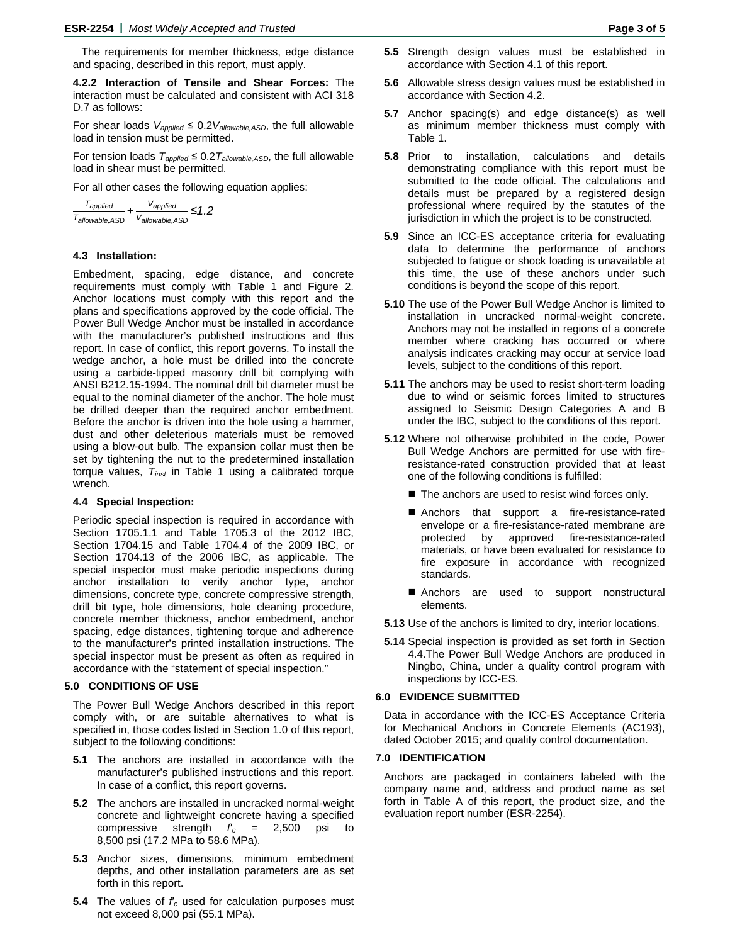The requirements for member thickness, edge distance and spacing, described in this report, must apply.

**4.2.2 Interaction of Tensile and Shear Forces:** The interaction must be calculated and consistent with ACI 318 D.7 as follows:

For shear loads *Vapplied* ≤ 0.2*Vallowable,ASD*, the full allowable load in tension must be permitted.

For tension loads  $T_{applied} \leq 0.2 T_{allowable,ASD}$ , the full allowable load in shear must be permitted.

For all other cases the following equation applies:

$$
\frac{T_{applied}}{T_{allowable,ASD}} + \frac{V_{applied}}{V_{allowable,ASD}} \le 1.2
$$

#### **4.3 Installation:**

Embedment, spacing, edge distance, and concrete requirements must comply with Table 1 and Figure 2. Anchor locations must comply with this report and the plans and specifications approved by the code official. The Power Bull Wedge Anchor must be installed in accordance with the manufacturer's published instructions and this report. In case of conflict, this report governs. To install the wedge anchor, a hole must be drilled into the concrete using a carbide-tipped masonry drill bit complying with ANSI B212.15-1994. The nominal drill bit diameter must be equal to the nominal diameter of the anchor. The hole must be drilled deeper than the required anchor embedment. Before the anchor is driven into the hole using a hammer, dust and other deleterious materials must be removed using a blow-out bulb. The expansion collar must then be set by tightening the nut to the predetermined installation torque values, *Tinst* in Table 1 using a calibrated torque wrench.

#### **4.4 Special Inspection:**

Periodic special inspection is required in accordance with Section 1705.1.1 and Table 1705.3 of the 2012 IBC, Section 1704.15 and Table 1704.4 of the 2009 IBC, or Section 1704.13 of the 2006 IBC, as applicable. The special inspector must make periodic inspections during anchor installation to verify anchor type, anchor dimensions, concrete type, concrete compressive strength, drill bit type, hole dimensions, hole cleaning procedure, concrete member thickness, anchor embedment, anchor spacing, edge distances, tightening torque and adherence to the manufacturer's printed installation instructions. The special inspector must be present as often as required in accordance with the "statement of special inspection."

#### **5.0 CONDITIONS OF USE**

The Power Bull Wedge Anchors described in this report comply with, or are suitable alternatives to what is specified in, those codes listed in Section 1.0 of this report, subject to the following conditions:

- **5.1** The anchors are installed in accordance with the manufacturer's published instructions and this report. In case of a conflict, this report governs.
- **5.2** The anchors are installed in uncracked normal-weight concrete and lightweight concrete having a specified compressive strength *f*′*c* = 2,500 psi to 8,500 psi (17.2 MPa to 58.6 MPa).
- **5.3** Anchor sizes, dimensions, minimum embedment depths, and other installation parameters are as set forth in this report.
- **5.4** The values of *f*′*c* used for calculation purposes must not exceed 8,000 psi (55.1 MPa).
- **5.5** Strength design values must be established in accordance with Section 4.1 of this report.
- **5.6** Allowable stress design values must be established in accordance with Section 4.2.
- **5.7** Anchor spacing(s) and edge distance(s) as well as minimum member thickness must comply with Table 1.
- **5.8** Prior to installation, calculations and details demonstrating compliance with this report must be submitted to the code official. The calculations and details must be prepared by a registered design professional where required by the statutes of the jurisdiction in which the project is to be constructed.
- **5.9** Since an ICC-ES acceptance criteria for evaluating data to determine the performance of anchors subjected to fatigue or shock loading is unavailable at this time, the use of these anchors under such conditions is beyond the scope of this report.
- **5.10** The use of the Power Bull Wedge Anchor is limited to installation in uncracked normal-weight concrete. Anchors may not be installed in regions of a concrete member where cracking has occurred or where analysis indicates cracking may occur at service load levels, subject to the conditions of this report.
- **5.11** The anchors may be used to resist short-term loading due to wind or seismic forces limited to structures assigned to Seismic Design Categories A and B under the IBC, subject to the conditions of this report.
- **5.12** Where not otherwise prohibited in the code, Power Bull Wedge Anchors are permitted for use with fireresistance-rated construction provided that at least one of the following conditions is fulfilled:
	- The anchors are used to resist wind forces only.
	- Anchors that support a fire-resistance-rated envelope or a fire-resistance-rated membrane are protected by approved fire-resistance-rated materials, or have been evaluated for resistance to fire exposure in accordance with recognized standards.
	- Anchors are used to support nonstructural elements.
- **5.13** Use of the anchors is limited to dry, interior locations.
- **5.14** Special inspection is provided as set forth in Section 4.4.The Power Bull Wedge Anchors are produced in Ningbo, China, under a quality control program with inspections by ICC-ES.

#### **6.0 EVIDENCE SUBMITTED**

Data in accordance with the ICC-ES Acceptance Criteria for Mechanical Anchors in Concrete Elements (AC193), dated October 2015; and quality control documentation.

#### **7.0 IDENTIFICATION**

Anchors are packaged in containers labeled with the company name and, address and product name as set forth in Table A of this report, the product size, and the evaluation report number (ESR-2254).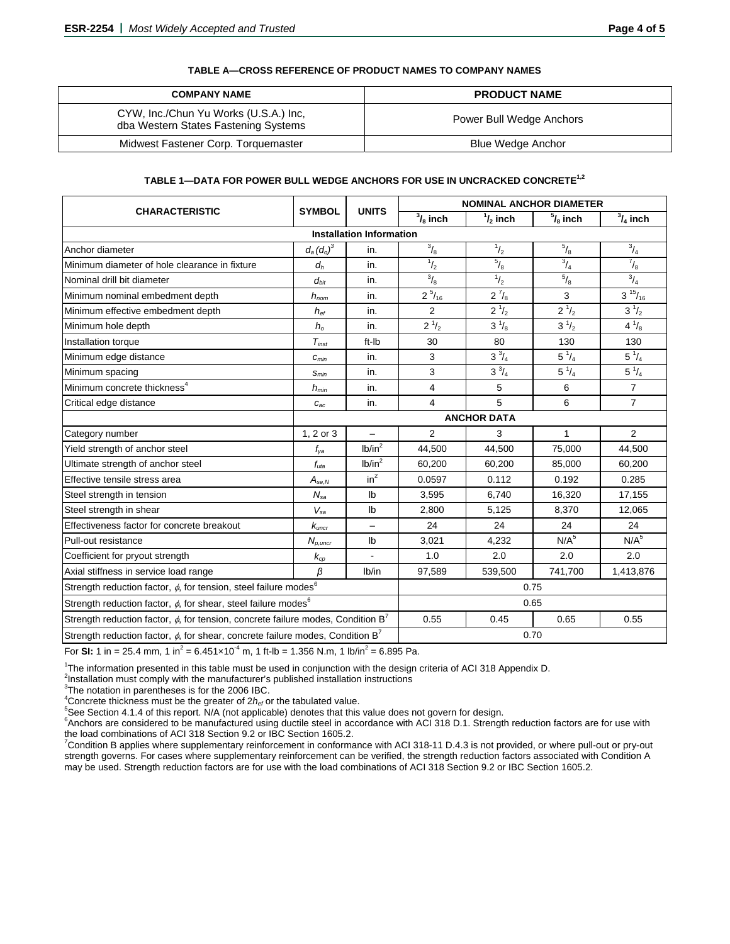| TABLE A—CROSS REFERENCE OF PRODUCT NAMES TO COMPANY NAMES |
|-----------------------------------------------------------|
|-----------------------------------------------------------|

| <b>COMPANY NAME</b>                                                           | <b>PRODUCT NAME</b>      |  |  |  |  |  |  |
|-------------------------------------------------------------------------------|--------------------------|--|--|--|--|--|--|
| CYW, Inc./Chun Yu Works (U.S.A.) Inc,<br>dba Western States Fastening Systems | Power Bull Wedge Anchors |  |  |  |  |  |  |
| Midwest Fastener Corp. Torquemaster                                           | Blue Wedge Anchor        |  |  |  |  |  |  |

#### **TABLE 1—DATA FOR POWER BULL WEDGE ANCHORS FOR USE IN UNCRACKED CONCRETE1,2**

|                                                                                                   |                              |                                 | <b>NOMINAL ANCHOR DIAMETER</b> |                    |                           |                    |  |  |  |  |  |  |  |
|---------------------------------------------------------------------------------------------------|------------------------------|---------------------------------|--------------------------------|--------------------|---------------------------|--------------------|--|--|--|--|--|--|--|
| <b>CHARACTERISTIC</b>                                                                             | <b>SYMBOL</b>                | <b>UNITS</b>                    | $\frac{3}{8}$ inch             | $\frac{1}{2}$ inch | $\frac{5}{8}$ inch        | $\frac{3}{4}$ inch |  |  |  |  |  |  |  |
|                                                                                                   |                              | <b>Installation Information</b> |                                |                    |                           |                    |  |  |  |  |  |  |  |
| Anchor diameter                                                                                   | $d_a(d_o)^3$                 | in.                             | $^{3}/_{8}$                    | $^{1}/_{2}$        | $\frac{5}{8}$             | $^{3}/_{4}$        |  |  |  |  |  |  |  |
| Minimum diameter of hole clearance in fixture                                                     | $d_h$                        | in.                             | $^{1}/_{2}$                    | $^{5}/_{8}$        | $^{3}/_{4}$               | $^{7}/_{8}$        |  |  |  |  |  |  |  |
| Nominal drill bit diameter                                                                        | $d_{bit}$                    | in.                             | $^{3}/_{8}$                    | $^{1}/_{2}$        | $^{5}/_{8}$               | $^{3}/_{4}$        |  |  |  |  |  |  |  |
| Minimum nominal embedment depth                                                                   | $h_{nom}$                    | in.                             | $2^{5}/_{16}$                  | $2^{7}/_{8}$       | 3                         | $3^{15}/_{16}$     |  |  |  |  |  |  |  |
| Minimum effective embedment depth                                                                 | $h_{\text{ef}}$              | in.                             | 2                              | $2^{1/2}$          | $2^{1/2}$                 | $3^{1/2}$          |  |  |  |  |  |  |  |
| Minimum hole depth                                                                                | $h_{\rm o}$                  | in.                             | $2^{1/2}$                      | $3^{1/8}$          | $3^{1/2}$                 | $4^{1}/_{8}$       |  |  |  |  |  |  |  |
| Installation torque                                                                               | $T_{inst}$                   | ft-Ib                           | 30                             | 80                 | 130                       |                    |  |  |  |  |  |  |  |
| Minimum edge distance                                                                             | $c_{\text{min}}$             | in.                             | 3                              | $3^{3}/_{4}$       | $5^{1/4}$<br>$5^{1}/_{4}$ |                    |  |  |  |  |  |  |  |
| Minimum spacing                                                                                   | $S_{min}$                    | in.                             | 3                              | $3^{3}/_{4}$       | $5^{1/4}$<br>$5^{1/4}$    |                    |  |  |  |  |  |  |  |
| Minimum concrete thickness <sup>4</sup>                                                           | $h_{min}$                    | in.                             | 4                              | 5                  | 6                         | $\overline{7}$     |  |  |  |  |  |  |  |
| Critical edge distance                                                                            | $C_{ac}$                     | in.                             | 4                              | 5                  | 6                         | $\overline{7}$     |  |  |  |  |  |  |  |
|                                                                                                   |                              |                                 | <b>ANCHOR DATA</b>             |                    |                           |                    |  |  |  |  |  |  |  |
| Category number                                                                                   | 1, 2 or 3                    | $\overline{\phantom{0}}$        | $\overline{c}$                 | 3                  | 1                         | 2                  |  |  |  |  |  |  |  |
| Yield strength of anchor steel                                                                    | $f_{\rm va}$                 | lb/in <sup>2</sup><br>44,500    |                                | 44,500             | 75,000                    | 44,500             |  |  |  |  |  |  |  |
| Ultimate strength of anchor steel                                                                 | $f_{uta}$                    | lb/in <sup>2</sup>              | 60,200                         | 60,200             | 85,000                    | 60,200             |  |  |  |  |  |  |  |
| Effective tensile stress area                                                                     | $\mathcal{A}_{se,N}$         | $in^2$                          | 0.0597                         | 0.112              | 0.192                     | 0.285              |  |  |  |  |  |  |  |
| Steel strength in tension                                                                         | $N_{sa}$                     | $\mathsf{lb}$                   | 3,595                          | 6,740              | 16,320                    | 17,155             |  |  |  |  |  |  |  |
| Steel strength in shear                                                                           | $V_{sa}$                     | $\mathsf{lb}$                   | 2,800                          | 5,125              | 8,370                     | 12,065             |  |  |  |  |  |  |  |
| Effectiveness factor for concrete breakout                                                        | $k_{\text{uncr}}$            | $\overline{\phantom{0}}$        | 24                             | 24                 | 24                        | 24                 |  |  |  |  |  |  |  |
| Pull-out resistance                                                                               | $N_{p,uncr}$                 | Ib                              | 3,021                          | 4,232              | N/A <sup>5</sup>          | N/A <sup>5</sup>   |  |  |  |  |  |  |  |
| Coefficient for pryout strength                                                                   | $k_{\mathrm{cp}}$            | ä,                              | 1.0                            | 2.0                | 2.0                       | 2.0                |  |  |  |  |  |  |  |
| Axial stiffness in service load range                                                             | β                            | lb/in                           | 97,589                         | 539,500            | 741,700                   | 1,413,876          |  |  |  |  |  |  |  |
| Strength reduction factor, $\phi$ , for tension, steel failure modes <sup>6</sup>                 | 0.75                         |                                 |                                |                    |                           |                    |  |  |  |  |  |  |  |
| Strength reduction factor, $\phi$ , for shear, steel failure modes <sup>6</sup>                   | 0.65                         |                                 |                                |                    |                           |                    |  |  |  |  |  |  |  |
| Strength reduction factor, $\phi$ , for tension, concrete failure modes, Condition B <sup>7</sup> | 0.55<br>0.55<br>0.45<br>0.65 |                                 |                                |                    |                           |                    |  |  |  |  |  |  |  |
| Strength reduction factor, $\phi$ , for shear, concrete failure modes, Condition B <sup>7</sup>   | 0.70                         |                                 |                                |                    |                           |                    |  |  |  |  |  |  |  |

For **SI:** 1 in = 25.4 mm, 1 in<sup>2</sup> = 6.451×10<sup>-4</sup> m, 1 ft-lb = 1.356 N.m, 1 lb/in<sup>2</sup> = 6.895 Pa.

<sup>1</sup>The information presented in this table must be used in conjunction with the design criteria of ACI 318 Appendix D.<br><sup>2</sup>Instellation must complexity the manufacturer's published installation instructions.

<sup>2</sup>Installation must comply with the manufacturer's published installation instructions

<sup>3</sup>The notation in parentheses is for the 2006 IBC.

<sup>4</sup>Concrete thickness must be the greater of  $2h_{ef}$  or the tabulated value.

<sup>5</sup>See Section 4.1.4 of this report. N/A (not applicable) denotes that this value does not govern for design.

<sup>6</sup> Anchors are considered to be manufactured using ductile steel in accordance with ACI 318 D.1. Strength reduction factors are for use with the load combinations of ACI 318 Section 9.2 or IBC Section 1605.2.

<sup>7</sup>Condition B applies where supplementary reinforcement in conformance with ACI 318-11 D.4.3 is not provided, or where pull-out or pry-out strength governs. For cases where supplementary reinforcement can be verified, the strength reduction factors associated with Condition A may be used. Strength reduction factors are for use with the load combinations of ACI 318 Section 9.2 or IBC Section 1605.2.